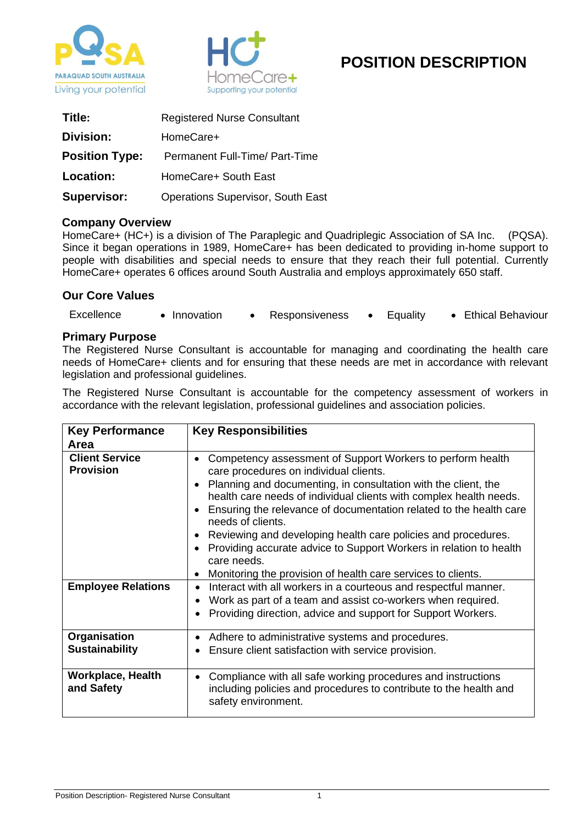



# **POSITION DESCRIPTION**

| Title:                | <b>Registered Nurse Consultant</b>       |
|-----------------------|------------------------------------------|
| Division:             | HomeCare+                                |
| <b>Position Type:</b> | Permanent Full-Time/ Part-Time           |
| Location:             | HomeCare+ South East                     |
| <b>Supervisor:</b>    | <b>Operations Supervisor, South East</b> |

#### **Company Overview**

HomeCare+ (HC+) is a division of The Paraplegic and Quadriplegic Association of SA Inc. (PQSA). Since it began operations in 1989, HomeCare+ has been dedicated to providing in-home support to people with disabilities and special needs to ensure that they reach their full potential. Currently HomeCare+ operates 6 offices around South Australia and employs approximately 650 staff.

## **Our Core Values**

| Excellence | Innovation | Responsiveness | Equality | • Ethical Behaviour |
|------------|------------|----------------|----------|---------------------|
|            |            |                |          |                     |

#### **Primary Purpose**

The Registered Nurse Consultant is accountable for managing and coordinating the health care needs of HomeCare+ clients and for ensuring that these needs are met in accordance with relevant legislation and professional guidelines.

The Registered Nurse Consultant is accountable for the competency assessment of workers in accordance with the relevant legislation, professional guidelines and association policies.

| <b>Key Performance</b><br>Area            | <b>Key Responsibilities</b>                                                                                                                                                                                                                                                                                                                                                                                                                                                                                                                                                                  |
|-------------------------------------------|----------------------------------------------------------------------------------------------------------------------------------------------------------------------------------------------------------------------------------------------------------------------------------------------------------------------------------------------------------------------------------------------------------------------------------------------------------------------------------------------------------------------------------------------------------------------------------------------|
| <b>Client Service</b><br><b>Provision</b> | Competency assessment of Support Workers to perform health<br>$\bullet$<br>care procedures on individual clients.<br>Planning and documenting, in consultation with the client, the<br>health care needs of individual clients with complex health needs.<br>Ensuring the relevance of documentation related to the health care<br>$\bullet$<br>needs of clients.<br>Reviewing and developing health care policies and procedures.<br>Providing accurate advice to Support Workers in relation to health<br>care needs.<br>Monitoring the provision of health care services to clients.<br>٠ |
| <b>Employee Relations</b>                 | Interact with all workers in a courteous and respectful manner.<br>$\bullet$<br>Work as part of a team and assist co-workers when required.<br>$\bullet$<br>Providing direction, advice and support for Support Workers.<br>$\bullet$                                                                                                                                                                                                                                                                                                                                                        |
| Organisation<br><b>Sustainability</b>     | Adhere to administrative systems and procedures.<br>٠<br>Ensure client satisfaction with service provision.                                                                                                                                                                                                                                                                                                                                                                                                                                                                                  |
| <b>Workplace, Health</b><br>and Safety    | Compliance with all safe working procedures and instructions<br>$\bullet$<br>including policies and procedures to contribute to the health and<br>safety environment.                                                                                                                                                                                                                                                                                                                                                                                                                        |